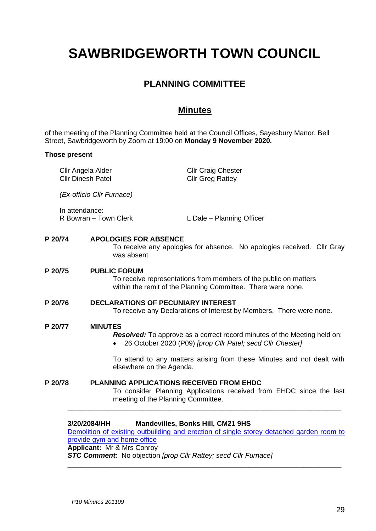# **SAWBRIDGEWORTH TOWN COUNCIL**

# **PLANNING COMMITTEE**

## **Minutes**

of the meeting of the Planning Committee held at the Council Offices, Sayesbury Manor, Bell Street, Sawbridgeworth by Zoom at 19:00 on **Monday 9 November 2020.**

## **Those present**

Cllr Angela Alder Cllr Dinesh Patel

Cllr Craig Chester Cllr Greg Rattey

*(Ex-officio Cllr Furnace)*

In attendance:<br>R Bowran – Town Clerk

L Dale – Planning Officer

## **P 20/74 APOLOGIES FOR ABSENCE**

To receive any apologies for absence. No apologies received. Cllr Gray was absent

#### **P 20/75 PUBLIC FORUM**

To receive representations from members of the public on matters within the remit of the Planning Committee. There were none.

## **P 20/76 DECLARATIONS OF PECUNIARY INTEREST**

To receive any Declarations of Interest by Members. There were none.

#### **P 20/77 MINUTES**

*Resolved:* To approve as a correct record minutes of the Meeting held on:

• 26 October 2020 (P09) *[prop Cllr Patel; secd Cllr Chester]*

To attend to any matters arising from these Minutes and not dealt with elsewhere on the Agenda.

## **P 20/78 PLANNING APPLICATIONS RECEIVED FROM EHDC**

To consider Planning Applications received from EHDC since the last meeting of the Planning Committee.

#### **3/20/2084/HH Mandevilles, Bonks Hill, CM21 9HS**

Demolition of existing outbuilding [and erection of single storey detached garden room to](https://publicaccess.eastherts.gov.uk/online-applications/applicationDetails.do?activeTab=documents&keyVal=QINTRFGLJ3R00)  [provide gym and home office](https://publicaccess.eastherts.gov.uk/online-applications/applicationDetails.do?activeTab=documents&keyVal=QINTRFGLJ3R00) **Applicant:** Mr & Mrs Conroy

**\_\_\_\_\_\_\_\_\_\_\_\_\_\_\_\_\_\_\_\_\_\_\_\_\_\_\_\_\_\_\_\_\_\_\_\_\_\_\_\_\_\_\_\_\_\_\_\_\_\_\_\_\_\_\_\_\_\_\_\_\_\_\_\_\_**

**\_\_\_\_\_\_\_\_\_\_\_\_\_\_\_\_\_\_\_\_\_\_\_\_\_\_\_\_\_\_\_\_\_\_\_\_\_\_\_\_\_\_\_\_\_\_\_\_\_\_\_\_\_\_\_\_\_\_\_\_\_\_\_\_\_**

*STC Comment:* No objection *[prop Cllr Rattey; secd Cllr Furnace]*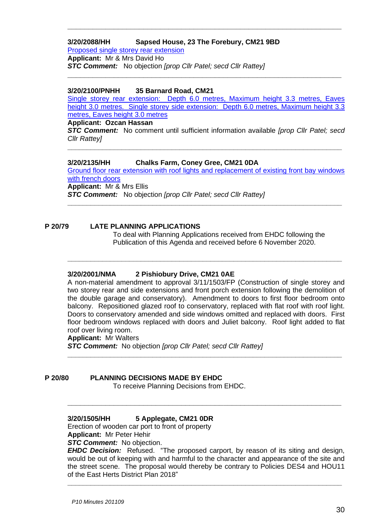#### **3/20/2088/HH Sapsed House, 23 The Forebury, CM21 9BD** [Proposed single storey rear extension](https://publicaccess.eastherts.gov.uk/online-applications/applicationDetails.do?activeTab=documents&keyVal=QIP271GLJ4000)

**Applicant:** Mr & Mrs David Ho *STC Comment:* No objection *[prop Cllr Patel; secd Cllr Rattey]* **\_\_\_\_\_\_\_\_\_\_\_\_\_\_\_\_\_\_\_\_\_\_\_\_\_\_\_\_\_\_\_\_\_\_\_\_\_\_\_\_\_\_\_\_\_\_\_\_\_\_\_\_\_\_\_\_\_\_\_\_\_\_\_\_\_**

## **3/20/2100/PNHH 35 Barnard Road, CM21**

[Single storey rear extension: Depth 6.0 metres, Maximum height 3.3 metres, Eaves](https://publicaccess.eastherts.gov.uk/online-applications/applicationDetails.do?activeTab=documents&keyVal=QIUQRBGL00X00)  [height 3.0 metres. Single storey side extension: Depth 6.0 metres, Maximum height 3.3](https://publicaccess.eastherts.gov.uk/online-applications/applicationDetails.do?activeTab=documents&keyVal=QIUQRBGL00X00)  [metres, Eaves height 3.0 metres](https://publicaccess.eastherts.gov.uk/online-applications/applicationDetails.do?activeTab=documents&keyVal=QIUQRBGL00X00)

**\_\_\_\_\_\_\_\_\_\_\_\_\_\_\_\_\_\_\_\_\_\_\_\_\_\_\_\_\_\_\_\_\_\_\_\_\_\_\_\_\_\_\_\_\_\_\_\_\_\_\_\_\_\_\_\_\_\_\_\_\_\_\_\_\_**

## **Applicant: Ozcan Hassan**

*STC Comment:* No comment until sufficient information available *[prop Cllr Patel; secd Cllr Rattey]*

**\_\_\_\_\_\_\_\_\_\_\_\_\_\_\_\_\_\_\_\_\_\_\_\_\_\_\_\_\_\_\_\_\_\_\_\_\_\_\_\_\_\_\_\_\_\_\_\_\_\_\_\_\_\_\_\_\_\_\_\_\_\_\_\_\_\_\_\_\_\_\_**

## **3/20/2135/HH Chalks Farm, Coney Gree, CM21 0DA**

[Ground floor rear extension with roof lights and replacement of existing front bay windows](https://publicaccess.eastherts.gov.uk/online-applications/applicationDetails.do?activeTab=documents&keyVal=QJ0K1NGLJ7C00)  [with french doors](https://publicaccess.eastherts.gov.uk/online-applications/applicationDetails.do?activeTab=documents&keyVal=QJ0K1NGLJ7C00) **Applicant:** Mr & Mrs Ellis

**\_\_\_\_\_\_\_\_\_\_\_\_\_\_\_\_\_\_\_\_\_\_\_\_\_\_\_\_\_\_\_\_\_\_\_\_\_\_\_\_\_\_\_\_\_\_\_\_\_\_\_\_\_\_\_\_\_\_\_\_\_\_\_\_\_\_\_\_\_\_\_**

**\_\_\_\_\_\_\_\_\_\_\_\_\_\_\_\_\_\_\_\_\_\_\_\_\_\_\_\_\_\_\_\_\_\_\_\_\_\_\_\_\_\_\_\_\_\_\_\_\_\_\_\_\_\_\_\_\_\_\_\_\_\_\_\_\_\_\_\_\_\_\_**

*STC Comment:* No objection *[prop Cllr Patel; secd Cllr Rattey]*

## **P 20/79 LATE PLANNING APPLICATIONS**

To deal with Planning Applications received from EHDC following the Publication of this Agenda and received before 6 November 2020.

## **3/20/2001/NMA 2 Pishiobury Drive, CM21 0AE**

A non-material amendment to approval 3/11/1503/FP (Construction of single storey and two storey rear and side extensions and front porch extension following the demolition of the double garage and conservatory). Amendment to doors to first floor bedroom onto balcony. Repositioned glazed roof to conservatory, replaced with flat roof with roof light. Doors to conservatory amended and side windows omitted and replaced with doors. First floor bedroom windows replaced with doors and Juliet balcony. Roof light added to flat roof over living room.

**\_\_\_\_\_\_\_\_\_\_\_\_\_\_\_\_\_\_\_\_\_\_\_\_\_\_\_\_\_\_\_\_\_\_\_\_\_\_\_\_\_\_\_\_\_\_\_\_\_\_\_\_\_\_\_\_\_\_\_\_\_\_\_\_\_\_\_\_\_\_\_**

**\_\_\_\_\_\_\_\_\_\_\_\_\_\_\_\_\_\_\_\_\_\_\_\_\_\_\_\_\_\_\_\_\_\_\_\_\_\_\_\_\_\_\_\_\_\_\_\_\_\_\_\_\_\_\_\_\_\_\_\_\_\_\_\_\_**

**Applicant:** Mr Walters

*STC Comment:* No objection *[prop Cllr Patel; secd Cllr Rattey]*

## **P 20/80 PLANNING DECISIONS MADE BY EHDC**

To receive Planning Decisions from EHDC.

## **3/20/1505/HH 5 Applegate, CM21 0DR**

Erection of wooden car port to front of property **Applicant:** Mr Peter Hehir

*STC Comment:* No objection.

*EHDC Decision:* Refused. "The proposed carport, by reason of its siting and design, would be out of keeping with and harmful to the character and appearance of the site and the street scene. The proposal would thereby be contrary to Policies DES4 and HOU11 of the East Herts District Plan 2018"

**\_\_\_\_\_\_\_\_\_\_\_\_\_\_\_\_\_\_\_\_\_\_\_\_\_\_\_\_\_\_\_\_\_\_\_\_\_\_\_\_\_\_\_\_\_\_\_\_\_\_\_\_\_\_\_\_\_\_\_\_\_\_\_\_\_\_\_\_\_\_\_**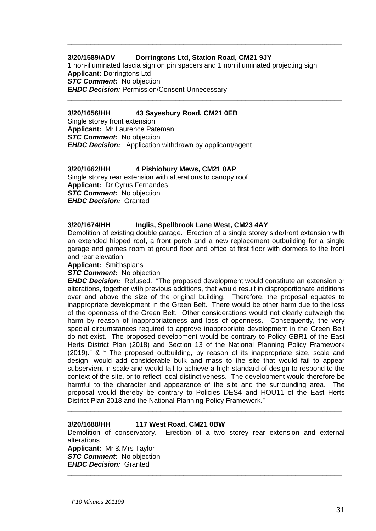## **3/20/1589/ADV Dorringtons Ltd, Station Road, CM21 9JY**

1 non-illuminated fascia sign on pin spacers and 1 non illuminated projecting sign **Applicant:** Dorringtons Ltd *STC Comment:* No objection *EHDC Decision:* Permission/Consent Unnecessary

**\_\_\_\_\_\_\_\_\_\_\_\_\_\_\_\_\_\_\_\_\_\_\_\_\_\_\_\_\_\_\_\_\_\_\_\_\_\_\_\_\_\_\_\_\_\_\_\_\_\_\_\_\_\_\_\_\_\_\_\_\_\_\_\_\_\_\_\_\_\_\_**

**\_\_\_\_\_\_\_\_\_\_\_\_\_\_\_\_\_\_\_\_\_\_\_\_\_\_\_\_\_\_\_\_\_\_\_\_\_\_\_\_\_\_\_\_\_\_\_\_\_\_\_\_\_\_\_\_\_\_\_\_\_\_\_\_\_\_\_\_\_\_\_**

**\_\_\_\_\_\_\_\_\_\_\_\_\_\_\_\_\_\_\_\_\_\_\_\_\_\_\_\_\_\_\_\_\_\_\_\_\_\_\_\_\_\_\_\_\_\_\_\_\_\_\_\_\_\_\_\_\_\_\_\_\_\_\_\_\_\_\_\_\_\_\_**

## **3/20/1656/HH 43 Sayesbury Road, CM21 0EB**

Single storey front extension **Applicant:** Mr Laurence Pateman *STC Comment:* No objection *EHDC Decision:* Application withdrawn by applicant/agent

## **3/20/1662/HH 4 Pishiobury Mews, CM21 0AP**

Single storey rear extension with alterations to canopy roof **Applicant:** Dr Cyrus Fernandes *STC Comment:* No objection *EHDC Decision:* Granted

## **3/20/1674/HH Inglis, Spellbrook Lane West, CM23 4AY**

Demolition of existing double garage. Erection of a single storey side/front extension with an extended hipped roof, a front porch and a new replacement outbuilding for a single garage and games room at ground floor and office at first floor with dormers to the front and rear elevation

**\_\_\_\_\_\_\_\_\_\_\_\_\_\_\_\_\_\_\_\_\_\_\_\_\_\_\_\_\_\_\_\_\_\_\_\_\_\_\_\_\_\_\_\_\_\_\_\_\_\_\_\_\_\_\_\_\_\_\_\_\_\_\_\_\_\_\_\_\_\_\_**

**Applicant:** Smithsplans

*STC Comment:* No objection

*EHDC Decision:* Refused. "The proposed development would constitute an extension or alterations, together with previous additions, that would result in disproportionate additions over and above the size of the original building. Therefore, the proposal equates to inappropriate development in the Green Belt. There would be other harm due to the loss of the openness of the Green Belt. Other considerations would not clearly outweigh the harm by reason of inappropriateness and loss of openness. Consequently, the very special circumstances required to approve inappropriate development in the Green Belt do not exist. The proposed development would be contrary to Policy GBR1 of the East Herts District Plan (2018) and Section 13 of the National Planning Policy Framework (2019)." & " The proposed outbuilding, by reason of its inappropriate size, scale and design, would add considerable bulk and mass to the site that would fail to appear subservient in scale and would fail to achieve a high standard of design to respond to the context of the site, or to reflect local distinctiveness. The development would therefore be harmful to the character and appearance of the site and the surrounding area. The proposal would thereby be contrary to Policies DES4 and HOU11 of the East Herts District Plan 2018 and the National Planning Policy Framework."

#### **3/20/1688/HH 117 West Road, CM21 0BW**

Demolition of conservatory. Erection of a two storey rear extension and external alterations

**\_\_\_\_\_\_\_\_\_\_\_\_\_\_\_\_\_\_\_\_\_\_\_\_\_\_\_\_\_\_\_\_\_\_\_\_\_\_\_\_\_\_\_\_\_\_\_\_\_\_\_\_\_\_\_\_\_\_\_\_\_\_\_\_\_\_\_\_\_\_\_**

**\_\_\_\_\_\_\_\_\_\_\_\_\_\_\_\_\_\_\_\_\_\_\_\_\_\_\_\_\_\_\_\_\_\_\_\_\_\_\_\_\_\_\_\_\_\_\_\_\_\_\_\_\_\_\_\_\_\_\_\_\_\_\_\_\_\_\_\_\_\_\_**

**Applicant:** Mr & Mrs Taylor *STC Comment:* No objection *EHDC Decision:* Granted